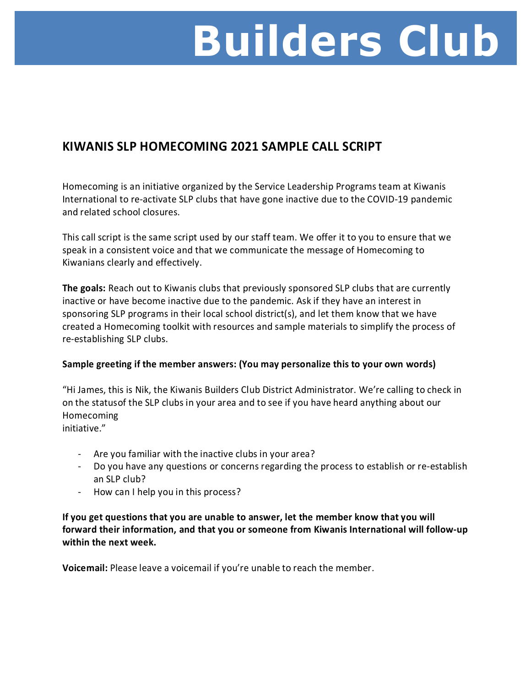# **Builders Club**

### **KIWANIS SLP HOMECOMING 2021 SAMPLE CALL SCRIPT**

Homecoming is an initiative organized by the Service Leadership Programs team at Kiwanis International to re-activate SLP clubs that have gone inactive due to the COVID-19 pandemic and related school closures.

This call script is the same script used by our staff team. We offer it to you to ensure that we speak in a consistent voice and that we communicate the message of Homecoming to Kiwanians clearly and effectively.

**The goals:** Reach out to Kiwanis clubs that previously sponsored SLP clubs that are currently inactive or have become inactive due to the pandemic. Ask if they have an interest in sponsoring SLP programs in their local school district(s), and let them know that we have created a Homecoming toolkit with resources and sample materials to simplify the process of re-establishing SLP clubs.

### **Sample greeting if the member answers: (You may personalize this to your own words)**

"Hi James, this is Nik, the Kiwanis Builders Club District Administrator. We're calling to check in on the statusof the SLP clubs in your area and to see if you have heard anything about our Homecoming initiative."

- Are you familiar with the inactive clubs in your area?
- Do you have any questions or concerns regarding the process to establish or re-establish an SLP club?
- How can I help you in this process?

**If you get questions that you are unable to answer, let the member know that you will forward their information, and that you or someone from Kiwanis International will follow-up within the next week.**

**Voicemail:** Please leave a voicemail if you're unable to reach the member.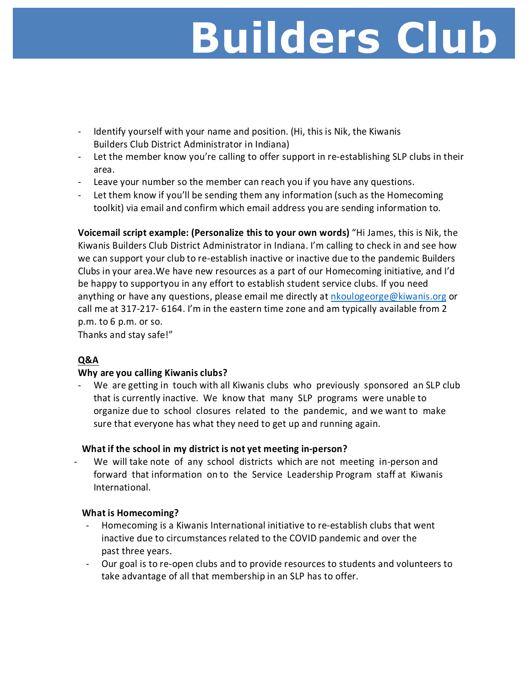## **Builders Club**

- Identify yourself with your name and position. (Hi, this is Nik, the Kiwanis Builders Club District Administrator in Indiana)
- Let the member know you're calling to offer support in re-establishing SLP clubs in their area.
- Leave your number so the member can reach you if you have any questions.
- Let them know if you'll be sending them any information (such as the Homecoming toolkit) via email and confirm which email address you are sending information to.

**Voicemail script example: (Personalize this to your own words)** "Hi James, this is Nik, the Kiwanis Builders Club District Administrator in Indiana. I'm calling to check in and see how we can support your club to re-establish inactive or inactive due to the pandemic Builders Clubs in your area.We have new resources as a part of our Homecoming initiative, and I'd be happy to supportyou in any effort to establish student service clubs. If you need anything or have any questions, please email me directly at [nkoulogeorge@kiwanis.org](mailto:nkoulogeorge@kiwanis.org) or call me at 317-217- 6164. I'm in the eastern time zone and am typically available from 2 p.m. to 6 p.m. or so.

Thanks and stay safe!"

### **Q&A**

#### **Why are you calling Kiwanis clubs?**

- We are getting in touch with all Kiwanis clubs who previously sponsored an SLP club that is currently inactive. We know that many SLP programs were unable to organize due to school closures related to the pandemic, and we want to make sure that everyone has what they need to get up and running again.

### **What if the school in my district is not yet meeting in-person?**

We will take note of any school districts which are not meeting in-person and forward that information on to the Service Leadership Program staff at Kiwanis International.

#### **What is Homecoming?**

- Homecoming is a Kiwanis International initiative to re-establish clubs that went inactive due to circumstances related to the COVID pandemic and over the past three years.
- Our goal is to re-open clubs and to provide resources to students and volunteers to take advantage of all that membership in an SLP has to offer.